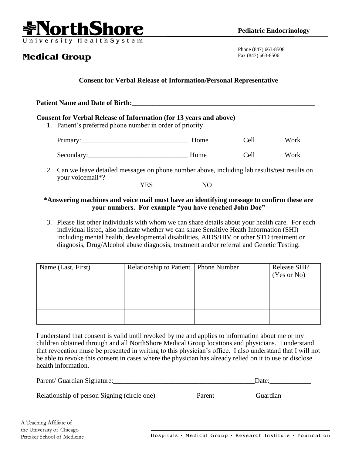

## **Medical Group**

Phone (847) 663-8508 Fax (847) 663-8506

## **Consent for Verbal Release of Information/Personal Representative**

| <b>Patient Name and Date of Birth:</b>                                                                                                |      |      |      |  |  |  |  |
|---------------------------------------------------------------------------------------------------------------------------------------|------|------|------|--|--|--|--|
| <b>Consent for Verbal Release of Information (for 13 years and above)</b><br>1. Patient's preferred phone number in order of priority |      |      |      |  |  |  |  |
|                                                                                                                                       | Home | Cell | Work |  |  |  |  |
|                                                                                                                                       | Home | Cell | Work |  |  |  |  |

2. Can we leave detailed messages on phone number above, including lab results/test results on your voicemail\*? YES NO

## **\*Answering machines and voice mail must have an identifying message to confirm these are**

- **your numbers. For example "you have reached John Doe"**
- 3. Please list other individuals with whom we can share details about your health care. For each individual listed, also indicate whether we can share Sensitive Heath Information (SHI) including mental health, developmental disabilities, AIDS/HIV or other STD treatment or diagnosis, Drug/Alcohol abuse diagnosis, treatment and/or referral and Genetic Testing.

| Name (Last, First) | Relationship to Patient   Phone Number | Release SHI?<br>(Yes or No) |
|--------------------|----------------------------------------|-----------------------------|
|                    |                                        |                             |
|                    |                                        |                             |
|                    |                                        |                             |

I understand that consent is valid until revoked by me and applies to information about me or my children obtained through and all NorthShore Medical Group locations and physicians. I understand that revocation muse be presented in writing to this physician's office. I also understand that I will not be able to revoke this consent in cases where the physician has already relied on it to use or disclose health information.

| Parent/ Guardian Signature:                 |        | Date:    |  |
|---------------------------------------------|--------|----------|--|
| Relationship of person Signing (circle one) | Parent | Guardian |  |